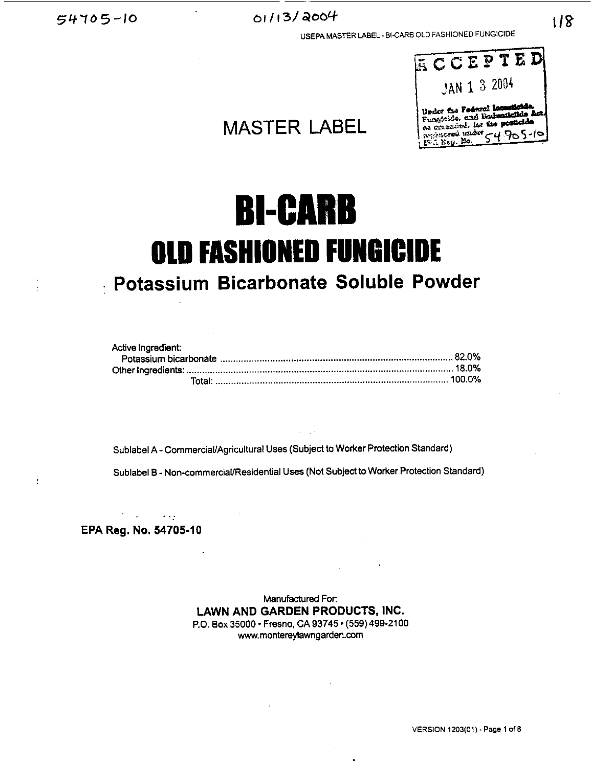54705-10 01/13/2004

USEPA MASTER lABEL· BI-CARB OLD FASHIONED FUNGICIDE



# MASTER LABEL

# **BI-CARB OLD FASHIONED FUNGICIDE**

# **Potassium Bicarbonate Soluble Powder**

| Active Ingredient: |  |
|--------------------|--|
|                    |  |
|                    |  |
|                    |  |

Sublabel A - Commercial/Agricultural Uses (Subject to Worker Protection Standard)

Sublabel B - Non-commercial/Residential Uses (Not Subject to Worker Protection Standard)

EPA Reg. No. 54705·10

and the stage

÷

Manufactured For. LAWN AND GARDEN PRODUCTS, INC. P.O. Box 35000· Fresno, CA 93745· (559)499-2100 www.montereylawngarden.com

 $118$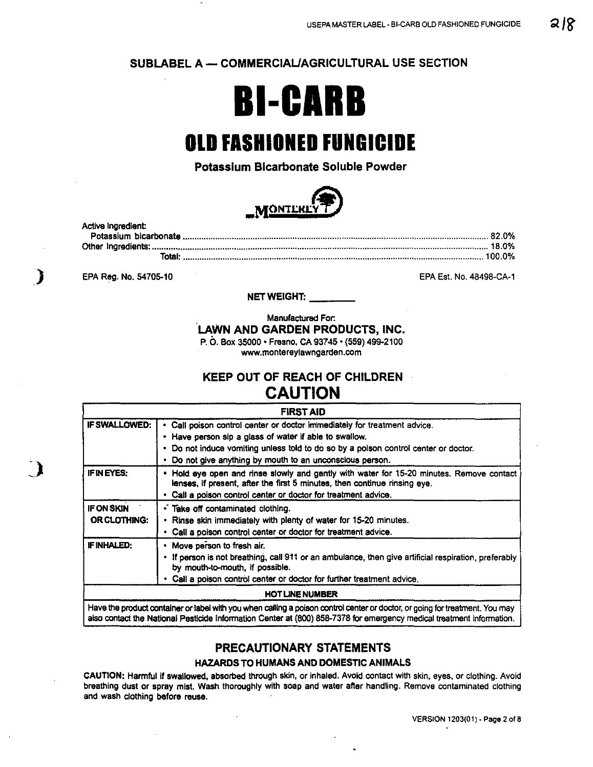# SUBLABEL A - COMMERCIAL/AGRICULTURAL USE SECTION

# **BI-CARB**

# **OLD FASHIONED FUNGICIDE**

Potassium Bicarbonate Soluble Powder



| Active Ingredient: |  |
|--------------------|--|
|                    |  |
|                    |  |
|                    |  |

EPA Reg. No. 54705-10 EPA Est. No. 48498-CA-l

)

ો

NET WEIGHT:

Manufactured For. LAWN AND GARDEN PRODUCTS, INC.

P. O. Box 35000 · Fresno, CA 93745 · (559) 499-2100 www.montereylawngarden.com

# KEEP OUT OF REACH OF CHILDREN **CAUTION**

|                            | FIRST AID                                                                                                                                                                                                                                                                          |
|----------------------------|------------------------------------------------------------------------------------------------------------------------------------------------------------------------------------------------------------------------------------------------------------------------------------|
| IF SWALLOWED:              | • Call poison control center or doctor immediately for treatment advice.<br>• Have person sip a glass of water if able to swallow.<br>Do not induce vomiting unless told to do so by a poison control center or doctor.<br>Do not give anything by mouth to an unconscious person. |
| IF IN EYES:                | . Hold eye open and rinse slowly and gently with water for 15-20 minutes. Remove contact<br>lenses, if present, after the first 5 minutes, then continue rinsing eye.<br>Call a poison control center or doctor for treatment advice.                                              |
| IF ON SKIN<br>OR CLOTHING: | . Take off contaminated clothing.<br>Rinse skin immediately with plenty of water for 15-20 minutes.<br>Call a poison control center or doctor for treatment advice.                                                                                                                |
| IF INHALED:                | Move person to fresh air.<br>If person is not breathing, call 911 or an ambulance, then give artificial respiration, preferably<br>by mouth-to-mouth, if possible.<br>Call a poison control center or doctor for further treatment advice.                                         |
| <b>HOT LINE NUMBER</b>     |                                                                                                                                                                                                                                                                                    |
|                            | Have the product container or label with you when calling a poison control center or doctor, or going for treatment. You may                                                                                                                                                       |

also contact the National Pesticide Information Center at (800) 858-7378 for emergency medical treatment information.

# PRECAUTIONARY STATEMENTS

# HAZARDS TO HUMANS AND DOMESTIC ANIMALS

CAUTION: Harmful If swallowed, absorbed through skin, or inhaled. AVOid contact with skin, eyes, or clothing. Avoid breathing dust or spray mist. Wash thoroughly with soap and water after handling. Remove contaminated clothing and wash clothing before reuse.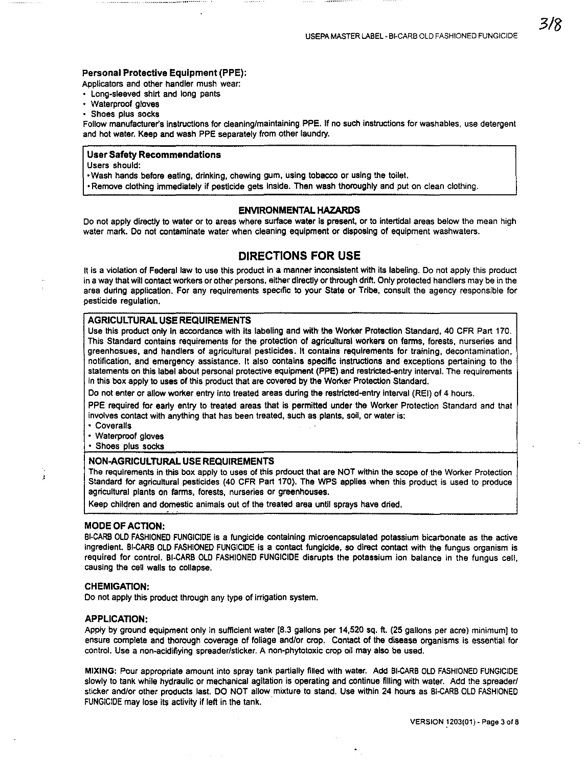#### **Personal Protective Equipment** (PPE):

Applicators and other handler mush wear:

- Long-sleeved shirt and long pants
- Waterproof gloves
- Shoes plus socks

Follow manufacturer's instructions for cleaning/maintaining PPE. If no such instructions for washables, use detergent and hot water. Keep and wash PPE separately from other laundry.

#### **User Safety Recommendations**

Users should:

- Wash hands before eating, drinking, chewing gum, using tobacco or using the toilet.
- Remove clothing immediately if pesticide gets inside. Then wash thoroughly and put on clean clothing.

#### **ENVIRONMENTAl HAZARDS**

Do not apply directly to water or to areas where surface water is present, or to intertidal areas below the mean high water mark. Do not contaminate water when cleaning equipment or disposing of equipment washwaters.

## **DIRECTIONS FOR USE**

It is a violation of Federal law to use this product in a manner inconsistent with its labeling. Do not apply this product in a way that will contact workers or other persons, either directly or through drift. Only protected handlers may be in the area during application. For any requirements specific to your State or Tribe, consult the agency responsible for pesticide regulation,

#### **AGRICULTURAL USE REQUIREMENTS**

Use this product only in accordance with its labeling and with the Worker Protection Standard, 40 CFR Part 170. This Standard contains requirements for the protection of agricultural workers on farms, forests, nurseries and greenhosues, and handlers of agricultural pesticides. It contains requirements for training, decontamination, notification, and emergency assistance. It also contains specific instructions and exceptions pertaining to the statements on this label about personal protective equipment (PPE) and restricted-entry interval. The requirements in this box apply to uses of this product that are covered by the Worker Protection Standard.

Do not enter or allow worker entry into treated areas during the restricted-entry interval (REI) of 4 hours.

PPE required for early entry to treated areas that is permitted under the Worker Protection Standard and that involves contact with anything that has been treated, such as plants, soli, or water is:

• Coveralls

 $\mathcal{F}$ 

- Waterproof gloves
- Shoes plus socks

#### **NON-AGRICULTURAL USE REQUIREMENTS**

The requirements in this box apply to uses of this prdouct that are NOT within the scope of the Worker Protection Standard for agricultural pesticides (40 CFR Part 170). The WPS applies when this product is used to produce agricultural plants on farms, forests, nurseries or greenhouses.

Keep children and domestic animals out of the treated area until sprays have dried.

#### **MODE OF ACTION:**

BI-CARB OLD FASHIONED FUNGICIDE is a fungicide containing microencapsulated potassium bicarbonate as the active ingredient. BI-CARB OLD FASHIONED FUNGICIDE is a contact fungicide, so direct contact with the fungus organism is required for control. BI-CARB OLD FASHIONED FUNGICIDE disrupts the potassium ion balance in the fungus celi, causing the cell walls to collapse.

#### **CHEMIGATION:**

Do not apply this product through any type of irrigation system.

#### **APPLICATION:**

Apply by ground equipment only in sufficient water [8.3 gallons per 14,520 sq. ft. (25 gallons per acre) minimum] to ensure complete and thorough coverage of foliage and/or crop. Contact of the disease organisms is essential for control. Use a non-acidifiying spreader/sticker. A non-phytotoxic crop oil may also be used.

MIXING: Pour appropriate amount into spray tank partially filled with water. Add BI-CARB OLD FASHIONED FUNGICIDE slowly to tank while hydraulic or mechanical agitation is operating and continue filling with water. Add the spreader/ slicker and/or other products last. DO NOT allow mixture to stand. Use within 24 hours as BI-CARB OLD FASHIONED FUNGICIDE may lose its activity if left in the tank.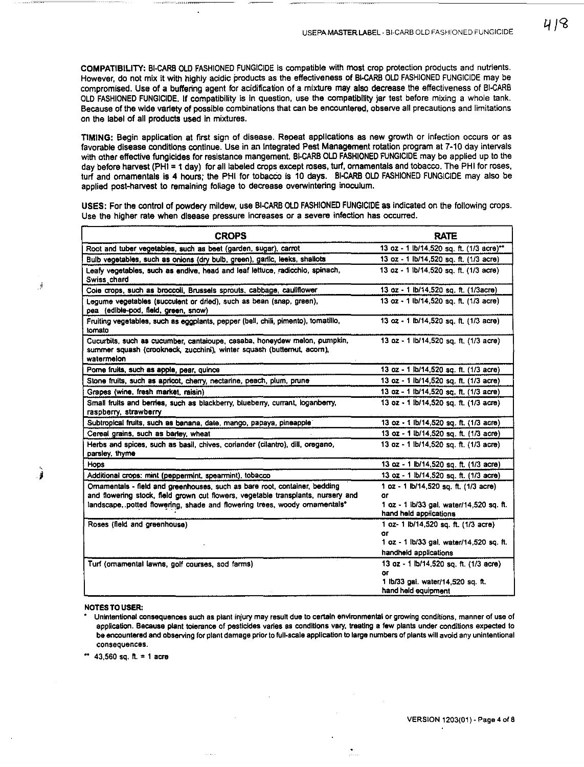COMPATIBILITY: BI·CARB OLD FASHIONED FUNGICIDE is compatible with most crop protection products and nutrients. However, do not mix it with highly acidic products as the effectiveness of BI-CARB OLD FASHIONED FUNGICIDE may be compromised. Use of a buffering agent for acidification of a mixture may also decrease the effectiveness of BI·CARB OLD FASHIONED FUNGICIDE. If compatibility is In Question, use the compatibility jar test before mixing a whole tank. Because of the wide variety of possible combinations that can be encountered, observe all precautions and limitations on the label of all products used in mixtures.

TIMING: Begin application at firsl sign of disease. Repeat applications as new growth or infection occurs or as favorable disease conditions continue. Use in an Integrated Pest Managemenl rotation program a17-10 day intervals with other effective fungicides for resistance mangement. BI-CARB OLD FASHIONED FUNGICIDE may be applied up to the day before harvest (PHI = 1 day) for all labeled crops except roses, turf, ornamentals and tobacco. The PHI for roses, turf and ornamentals is 4 hours; the PHI for tobacco is 10 days. BI-CARB OLD FASHIONED FUNGICIDE may also be applied post·harvest to remaining foliage to decrease overwintering inoculum.

USES: For the control of powdery mildew, use BI-CARB OLD FASHIONED FUNGICIDE as indicated on the following crops. Use the higher rate when disease pressure increases or a severe infection has occurred.

| <b>CROPS</b>                                                                                                                                                                                                                               | <b>RATE</b>                                                                                                       |
|--------------------------------------------------------------------------------------------------------------------------------------------------------------------------------------------------------------------------------------------|-------------------------------------------------------------------------------------------------------------------|
| Root and tuber vegetables, such as beet (garden, sugar), carrot                                                                                                                                                                            | 13 oz - 1 lb/14,520 sq. ft. (1/3 acre)**                                                                          |
| Bulb vegetables, such as onions (dry bulb, green), garlic, leeks, shallots                                                                                                                                                                 | 13 oz - 1 lb/14,520 sq. ft. (1/3 acre)                                                                            |
| Leafy vegetables, such as endive, head and leaf lettuce, radicchio, spinach,<br>Swiss chard                                                                                                                                                | 13 oz - 1 ib/14,520 sq. ft. (1/3 acre)                                                                            |
| Cole crops, such as broccoli, Brussels sprouts, cabbage, cauliflower                                                                                                                                                                       | 13 oz - 1 ib/14,520 sq. ft. (1/3acre)                                                                             |
| Legume vegetables (succulent or dried), such as bean (snap, green),<br>pea (edible-pod, fleid, green, snow)                                                                                                                                | 13 oz - 1 lb/14.520 sq. ft. (1/3 acre)                                                                            |
| Fruiting vegetables, such as eggplants, pepper (bell, chili, pimento), tomatillo,<br>tomato                                                                                                                                                | 13 oz - 1 lb/14,520 sq. ft. (1/3 acre)                                                                            |
| Cucurbits, such as cucumber, cantaloupe, casaba, honeydew melon, pumpkin,<br>summer squash (crookneck, zucchini), winter squash (butternut, acorn),<br>watermelon                                                                          | 13 oz - 1 lb/14,520 sq. ft. (1/3 acre)                                                                            |
| Pome fruits, such as apple, pear, quince                                                                                                                                                                                                   | 13 oz - 1 lb/14,520 sq. ft. (1/3 acre)                                                                            |
| Stone fruits, such as apricot, cherry, nectarine, peach, plum, prune                                                                                                                                                                       | 13 oz - 1 lb/14,520 sq. ft. (1/3 acre)                                                                            |
| Grapes (wine, fresh market, raisin)                                                                                                                                                                                                        | 13 oz - 1 lb/14,520 sq. ft. (1/3 acre)                                                                            |
| Small fruits and berries, such as blackberry, blueberry, currant, loganberry,<br>raspberry, strawberry                                                                                                                                     | 13 oz - 1 ib/14,520 sq. ft. (1/3 acre)                                                                            |
| Subtropical fruits, such as banana, date, mango, papaya, pineapple                                                                                                                                                                         | 13 oz - 1 lb/14,520 sq. ft. (1/3 acre)                                                                            |
| Cereal grains, such as barley, wheat                                                                                                                                                                                                       | 13 oz - 1 lb/14,520 sq. ft. (1/3 acre)                                                                            |
| Herbs and spices, such as basil, chives, coriander (cilantro), dill, oregano,<br>parsley, thyme                                                                                                                                            | 13 oz - 1 lb/14,520 sq. ft. (1/3 acre)                                                                            |
| <b>Hops</b>                                                                                                                                                                                                                                | 13 oz - 1 lb/14,520 sq. ft. (1/3 acre)                                                                            |
| Additional crops: mint (peppermint, spearmint), tobacco                                                                                                                                                                                    | 13 oz - 1 lb/14,520 sq. ft. (1/3 acre)                                                                            |
| Omamentals - field and greenhouses, such as bare root, container, bedding<br>and flowering stock, field grown cut flowers, vegetable transplants, nursery and<br>landscape, potted flowering, shade and flowering trees, woody omamentals* | 1 oz - 1 lb/14,520 sq. ft. (1/3 acre)<br>٥r<br>1 oz - 1 ib/33 gal. water/14,520 sq. ft.<br>hand held applications |
| Roses (field and greenhouse)                                                                                                                                                                                                               | 1 oz- 1 lb/14,520 sq. ft. (1/3 acre)<br>or.<br>1 oz - 1 lb/33 gal, water/14,520 sq. ft.<br>handheld applications  |
| Turf (omamental lawns, golf courses, sod farms)                                                                                                                                                                                            | 13 oz - 1 lb/14,520 sq. ft. (1/3 acre)<br>or<br>1 lb/33 gal. water/14,520 sq. ft.<br>hand held equipment          |

NOTES TO USER:

 $\tilde{\mathcal{X}}$ 

đ

**Unintentional consequences such as plant injury may result due to certain environmental or growing conditions, manner of use of application. Because plant tolerance of pesticides varies as conditions vary, treating a few plants under conditions expected to be encountered and observing for plant damage prior to full-scale application to large numbers of plants will avoid any unintentional consequences.** 

 $-$  43,560 sq. ft. = 1 acre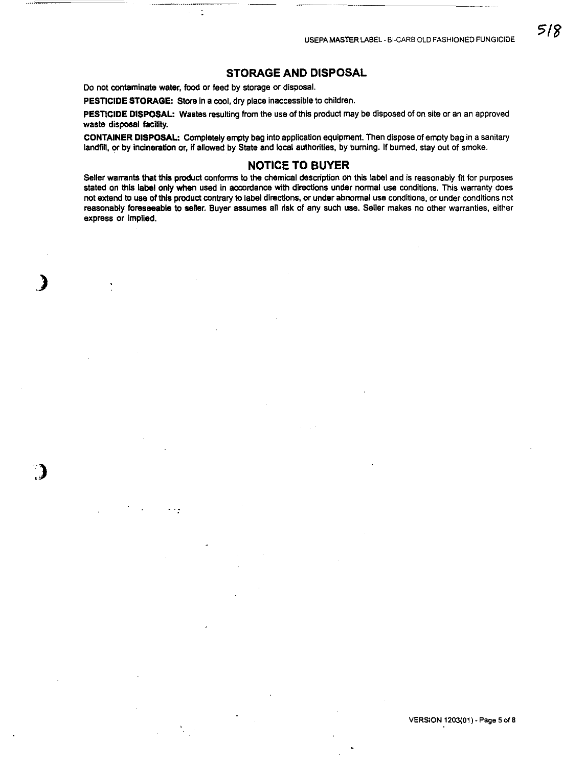---- ~---------------~

## **STORAGE AND DISPOSAL**

Do not contaminate water, food or feed by storage or disposal.

)<br>لن

'J

PESTICIDE STORAGE: Store in a cool, dry place inaccessible to children.

PESTICIDE DISPOSAL: Wastes resulting from the use of this product may be disposed of on site or an an approved waste disposal facility.

CONTAINER DISPOSAL: Completely empty bag into application equipment. Then dispose of empty bag in a sanitary landfill, or by Incineration or, If allowed by State and local authorities, by burning. If burned, stay out of smoke.

# **NOTICE TO BUYER**

Seller warrants that this product conforms to the chemical description on this label and is reasonably fit for purposes stated on this label only when used in accordance with directions under normal use conditions. This warranty does not extend to use of this product contrary to label directions, or under abnormal use conditions, or under conditions not reasonably foreseeable to seller. Buyer assumes all risk of any such use. Seller makes no other warranties, either express or implied.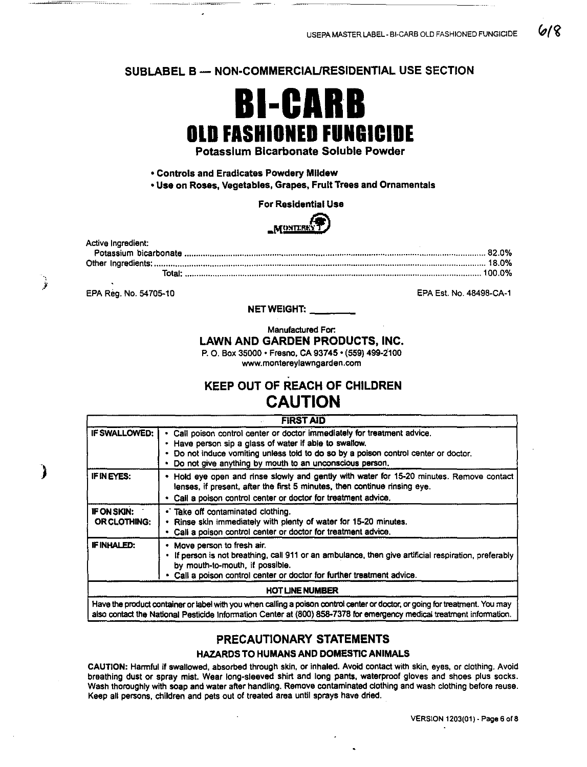SUBLABEL B - NON-COMMERCIAL/RESIDENTIAL USE SECTION



Potassium Bicarbonate Soluble Powder

• Controls and Eradicates Powdery Mildew

---,.= ..... =. ~- --.~----------------

• Use on Roses, Vegetables, Grapes, Fruit Trees and Ornamentals

For Residential Use



Active Ingredient: Potassium bicarbonate ................................................................................................................................... 82.0% Other Ingredients: ......................................................•..................•••.•........•......................................................... 18.0% Total: ................................................................................................................................. 100.0%

)

)

EPA Reg. No. 54705-10 EPA Est. No. 48498-CA-l

NET WEIGHT:

Manufactured For:

LAWN AND GARDEN PRODUCTS, INC.

P. O. Box 35000 · Fresno, CA 93745 · (559) 499-2100 www.montereylawngarden.com

# KEEP OUT OF REACH OF CHILDREN **CAUTION**

| <b>FIRST AID</b>                                                                                                             |                                                                                                                                                                                                                                                                                |  |
|------------------------------------------------------------------------------------------------------------------------------|--------------------------------------------------------------------------------------------------------------------------------------------------------------------------------------------------------------------------------------------------------------------------------|--|
| IF SWALLOWED:                                                                                                                | Call poison control center or doctor immediately for treatment advice.<br>Have person sip a glass of water if able to swallow.<br>Do not induce vomiting unless told to do so by a poison control center or doctor.<br>Do not give anything by mouth to an unconscious person. |  |
| IF IN EYES:                                                                                                                  | Hold eye open and rinse slowly and gently with water for 15-20 minutes. Remove contact<br>lenses, if present, after the first 5 minutes, then continue rinsing eye.<br>Call a poison control center or doctor for treatment advice.                                            |  |
| <b>IF ON SKIN:</b><br><b>OR CLOTHING:</b>                                                                                    | • Take off contaminated clothing.<br>Rinse skin immediately with plenty of water for 15-20 minutes.<br>Call a poison control center or doctor for treatment advice.                                                                                                            |  |
| IF INHALED:                                                                                                                  | Move person to fresh air.<br>If person is not breathing, call 911 or an ambulance, then give artificial respiration, preferably<br>by mouth-to-mouth, if possible.<br>Call a poison control center or doctor for further treatment advice.                                     |  |
| <b>HOT LINE NUMBER</b>                                                                                                       |                                                                                                                                                                                                                                                                                |  |
| Have the product container or label with you when calling a poison control center or doctor, or going for treatment. You may |                                                                                                                                                                                                                                                                                |  |

also contact the National Pesticide Infonnation Center at (800) 858-7378 for emergency medical treatment infonnation.

# PRECAUTIONARY STATEMENTS

#### HAZARDS TO HUMANS AND DOMESTIC ANIMALS

CAUTION: Hannful if swallowed. absorbed through skin. or inhaled. Avoid contact with skin. eyes. or clothing. Avoid breathing dust or spray mist. Wear long-sleeved shirt and long pants. waterproof gloves and shoes plus socks. Wash thoroughly with soap and water after handling. Remove contaminated clothing and wash clothing before reuse. Keep all persons. children and pets out of treated area until sprays have dried.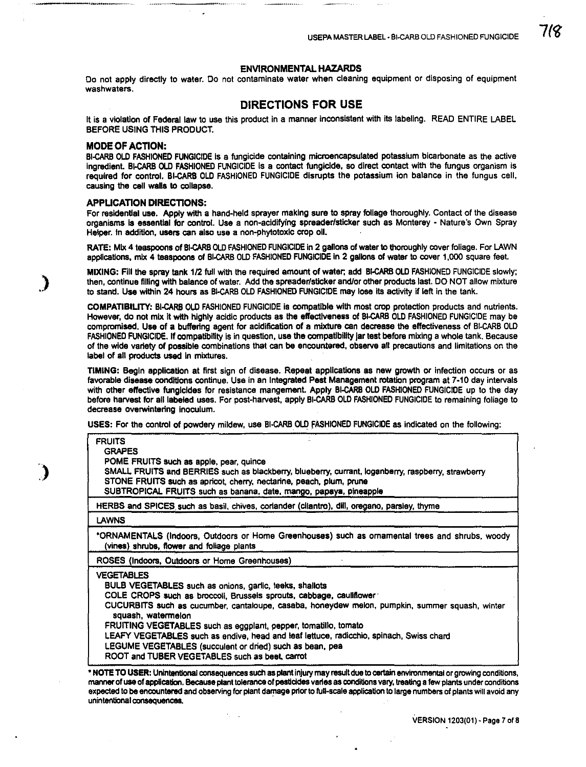7(8

#### **ENVIRONMENTAL HAZARDS**

Do not apply directly to water. Do not contaminate water when cleaning equipment or disposing of equipment **washwaters.** 

## **DIRECTIONS FOR USE**

It is a violation of Federal law to use this product in a manner inconsistent with its labeling. READ ENTIRE LABEL BEFORE USING THIS PRODUCT.

#### **MODE OF ACTION:**

.>

:)

BI-CARB OLD FASHIONED FUNGICIDE Is a fungicide containing microencapsulated potassium bicarbonate as the active ingredient. BI-CARB OLD FASHIONED FUNGICIDE is a contact fungicide, so direct contact with the fungus organism is required for control. BI-CARB OLD FASHIONED FUNGICIDE disrupts the potassium Ion balance in the fungus cell, causing the cell wells to collapse.

#### **APPUCATION DIRECTIONS:**

For residential use. Apply with a hand-held sprayer making sure to spray foliage thoroughly. Contact of the disease organisms is essential for control. Use a non-acidifying spreader/sticker such as Monterey - Nature's Own Spray Helper. In addition, users can also use a non-phytotoxic crop oil.

RATE: Mix 4 teaspoons of BI-CARB OLD FASHIONED FUNGICIDE in 2 gallons of water to thoroughly cover foliage. For LAWN applications, mix 4 taaspoons of BI-CARB OLD FASHIONED FUNGICIDE In 2 gallons of water to cover 1,000 square feet

MIXING: Fill the spray tank 112 full with the required amount of water; add Bi-CARB OLD FASHIONED FUNGICIDE slowly; then, continue filling with balance of water. Add the spreader/sticker and/or other products last. DO NOT allow mixture to stand. Use within 24 hours as BI-CARB OLD FASHIONED FUNGICIDE may lose its activity if left in the tank.

COMPATIBILITY: BI-CARB OLD FASHIONED FUNGICIDE is compatible with most crop protection products and nutrients. However, do not mix it with highly acidic products as the effectiveness of BI-CARB OLD FASHIONED FUNGICIDE may be compromised. Use of a buffering agent for acidification of a mixture can decrease the effectiveness of BI-CARB OLD FASHIONED FUNGICIDE. If compatibility is in question, use the compatibility jar test before mixing a whole tank. Because of the wide variety of possible combinations that can be encountered, observe all precautions and limitations on the label of all products used in mixtures.

TIMING: Begin application at first sign of disease. Repeat applications as new growth or infection occurs or as favorable disease conditions continue. Use in an Integrated Pest Management rotation program at 7-10 day intervals with other effective fungicides for resistance mangement. Apply BI-CARB OLD FASHIONED FUNGICIDE up to the day before harvest for all labeled uses. For post-harvest, apply BI-CARB OLD FASHIONED FUNGICIDE to remaining foliage to decrease overwintering inoculum.

USES: For the control of powdery mildew, use BI·CARB OLD fAsHIONED FUNGICIDE as Indicated on the following:

| <b>FRUITS</b><br><b>GRAPES</b><br>POME FRUITS such as apple, pear, quince<br>SMALL FRUITS and BERRIES such as blackberry, blueberry, currant, loganberry, raspberry, strawberry<br>STONE FRUITS such as apricot, cherry, nectarine, peach, plum, prune<br>SUBTROPICAL FRUITS such as banana, date, mango, papaya, pineapple                                                                                                                                                                                                                             |
|---------------------------------------------------------------------------------------------------------------------------------------------------------------------------------------------------------------------------------------------------------------------------------------------------------------------------------------------------------------------------------------------------------------------------------------------------------------------------------------------------------------------------------------------------------|
| HERBS and SPICES such as basil, chives, coriander (cilantro), dill, oregano, parsley, thyme                                                                                                                                                                                                                                                                                                                                                                                                                                                             |
| <b>LAWNS</b>                                                                                                                                                                                                                                                                                                                                                                                                                                                                                                                                            |
| *ORNAMENTALS (Indoors, Outdoors or Home Greenhouses) such as ornamental trees and shrubs, woody<br>(vines) shrubs, flower and foliage plants                                                                                                                                                                                                                                                                                                                                                                                                            |
| ROSES (Indoors, Outdoors or Home Greenhouses)                                                                                                                                                                                                                                                                                                                                                                                                                                                                                                           |
| <b>VEGETABLES</b><br>BULB VEGETABLES such as onions, garlic, leeks, shallots<br>COLE CROPS such as broccoli, Brussels sprouts, cabbage, cauliflower<br>CUCURBITS such as cucumber, cantaloupe, casaba, honeydew melon, pumpkin, summer squash, winter<br>squash, watermelon<br>FRUITING VEGETABLES such as eggplant, pepper, tomatillo, tomato<br>LEAFY VEGETABLES such as endive, head and leaf lettuce, radicchio, spinach, Swiss chard<br>LEGUME VEGETABLES (succulent or dried) such as bean, pea<br>ROOT and TUBER VEGETABLES such as beet, carrot |

• **NOTE TO** USER: Unintentional consequences such as plant injury may result due to certain environmental or growing conditions, manner of use of application. Because plant tolerance of pesticides varies as conditions vary, treating a few plants under conditions expected to be encountered and observing for plant damage prior to full-scale application to large numbers of plants will avoid any uninlsntionsl consequences.